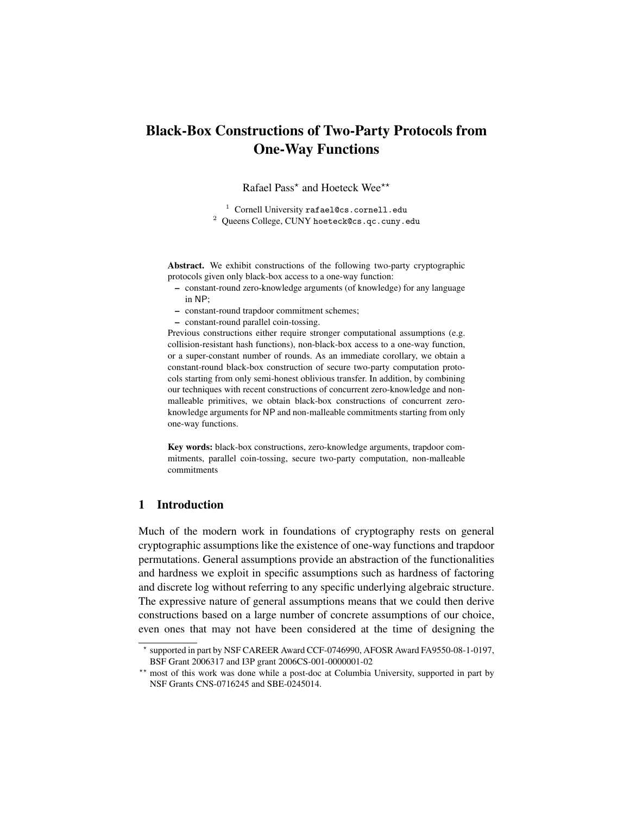# Black-Box Constructions of Two-Party Protocols from One-Way Functions

Rafael Pass<sup>\*</sup> and Hoeteck Wee<sup>\*\*</sup>

<sup>1</sup> Cornell University rafael@cs.cornell.edu <sup>2</sup> Queens College, CUNY hoeteck@cs.qc.cuny.edu

Abstract. We exhibit constructions of the following two-party cryptographic protocols given only black-box access to a one-way function:

- constant-round zero-knowledge arguments (of knowledge) for any language in NP;
- constant-round trapdoor commitment schemes;
- constant-round parallel coin-tossing.

Previous constructions either require stronger computational assumptions (e.g. collision-resistant hash functions), non-black-box access to a one-way function, or a super-constant number of rounds. As an immediate corollary, we obtain a constant-round black-box construction of secure two-party computation protocols starting from only semi-honest oblivious transfer. In addition, by combining our techniques with recent constructions of concurrent zero-knowledge and nonmalleable primitives, we obtain black-box constructions of concurrent zeroknowledge arguments for NP and non-malleable commitments starting from only one-way functions.

Key words: black-box constructions, zero-knowledge arguments, trapdoor commitments, parallel coin-tossing, secure two-party computation, non-malleable commitments

# 1 Introduction

Much of the modern work in foundations of cryptography rests on general cryptographic assumptions like the existence of one-way functions and trapdoor permutations. General assumptions provide an abstraction of the functionalities and hardness we exploit in specific assumptions such as hardness of factoring and discrete log without referring to any specific underlying algebraic structure. The expressive nature of general assumptions means that we could then derive constructions based on a large number of concrete assumptions of our choice, even ones that may not have been considered at the time of designing the

<sup>?</sup> supported in part by NSF CAREER Award CCF-0746990, AFOSR Award FA9550-08-1-0197, BSF Grant 2006317 and I3P grant 2006CS-001-0000001-02

<sup>\*\*</sup> most of this work was done while a post-doc at Columbia University, supported in part by NSF Grants CNS-0716245 and SBE-0245014.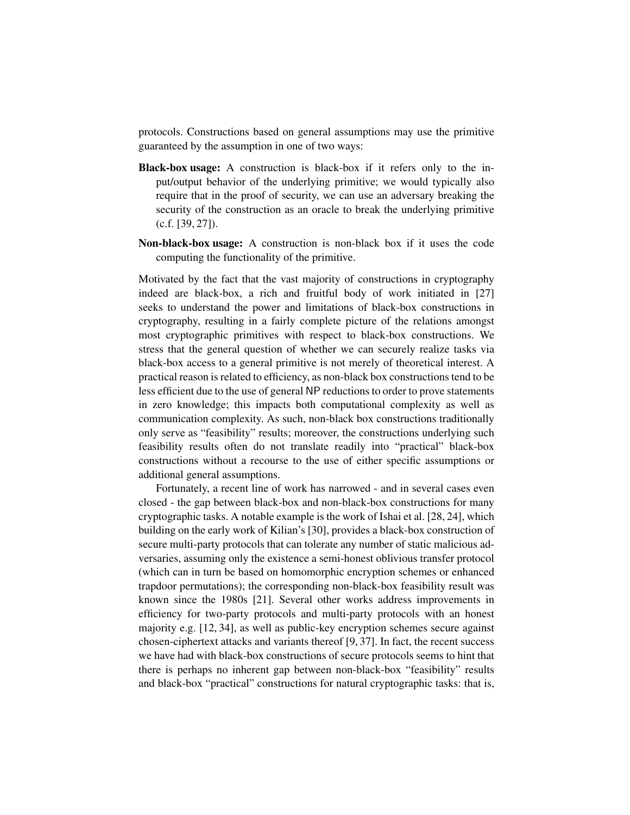protocols. Constructions based on general assumptions may use the primitive guaranteed by the assumption in one of two ways:

- Black-box usage: A construction is black-box if it refers only to the input/output behavior of the underlying primitive; we would typically also require that in the proof of security, we can use an adversary breaking the security of the construction as an oracle to break the underlying primitive (c.f. [39, 27]).
- Non-black-box usage: A construction is non-black box if it uses the code computing the functionality of the primitive.

Motivated by the fact that the vast majority of constructions in cryptography indeed are black-box, a rich and fruitful body of work initiated in [27] seeks to understand the power and limitations of black-box constructions in cryptography, resulting in a fairly complete picture of the relations amongst most cryptographic primitives with respect to black-box constructions. We stress that the general question of whether we can securely realize tasks via black-box access to a general primitive is not merely of theoretical interest. A practical reason is related to efficiency, as non-black box constructions tend to be less efficient due to the use of general NP reductions to order to prove statements in zero knowledge; this impacts both computational complexity as well as communication complexity. As such, non-black box constructions traditionally only serve as "feasibility" results; moreover, the constructions underlying such feasibility results often do not translate readily into "practical" black-box constructions without a recourse to the use of either specific assumptions or additional general assumptions.

Fortunately, a recent line of work has narrowed - and in several cases even closed - the gap between black-box and non-black-box constructions for many cryptographic tasks. A notable example is the work of Ishai et al. [28, 24], which building on the early work of Kilian's [30], provides a black-box construction of secure multi-party protocols that can tolerate any number of static malicious adversaries, assuming only the existence a semi-honest oblivious transfer protocol (which can in turn be based on homomorphic encryption schemes or enhanced trapdoor permutations); the corresponding non-black-box feasibility result was known since the 1980s [21]. Several other works address improvements in efficiency for two-party protocols and multi-party protocols with an honest majority e.g. [12, 34], as well as public-key encryption schemes secure against chosen-ciphertext attacks and variants thereof [9, 37]. In fact, the recent success we have had with black-box constructions of secure protocols seems to hint that there is perhaps no inherent gap between non-black-box "feasibility" results and black-box "practical" constructions for natural cryptographic tasks: that is,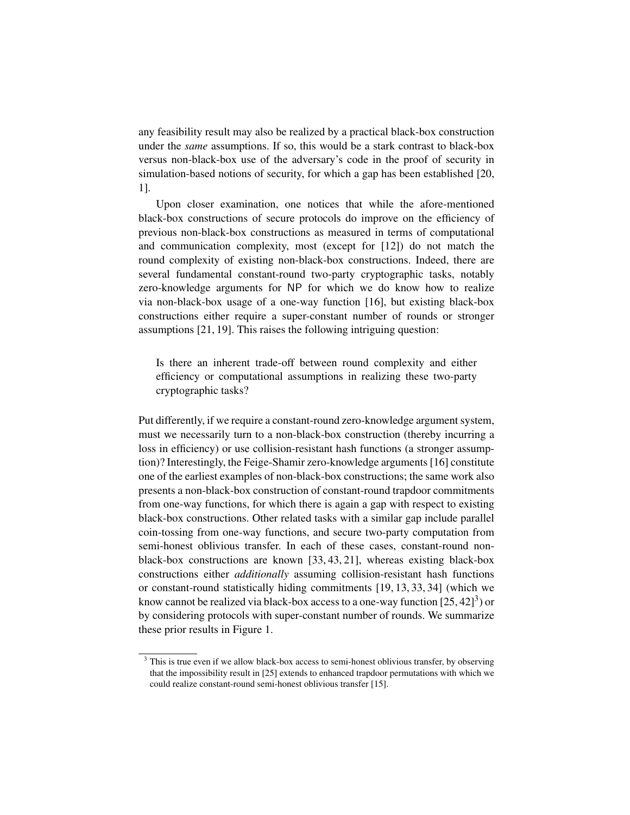any feasibility result may also be realized by a practical black-box construction under the *same* assumptions. If so, this would be a stark contrast to black-box versus non-black-box use of the adversary's code in the proof of security in simulation-based notions of security, for which a gap has been established [20, 1].

Upon closer examination, one notices that while the afore-mentioned black-box constructions of secure protocols do improve on the efficiency of previous non-black-box constructions as measured in terms of computational and communication complexity, most (except for [12]) do not match the round complexity of existing non-black-box constructions. Indeed, there are several fundamental constant-round two-party cryptographic tasks, notably zero-knowledge arguments for NP for which we do know how to realize via non-black-box usage of a one-way function [16], but existing black-box constructions either require a super-constant number of rounds or stronger assumptions [21, 19]. This raises the following intriguing question:

Is there an inherent trade-off between round complexity and either efficiency or computational assumptions in realizing these two-party cryptographic tasks?

Put differently, if we require a constant-round zero-knowledge argument system, must we necessarily turn to a non-black-box construction (thereby incurring a loss in efficiency) or use collision-resistant hash functions (a stronger assumption)? Interestingly, the Feige-Shamir zero-knowledge arguments [16] constitute one of the earliest examples of non-black-box constructions; the same work also presents a non-black-box construction of constant-round trapdoor commitments from one-way functions, for which there is again a gap with respect to existing black-box constructions. Other related tasks with a similar gap include parallel coin-tossing from one-way functions, and secure two-party computation from semi-honest oblivious transfer. In each of these cases, constant-round nonblack-box constructions are known [33, 43, 21], whereas existing black-box constructions either *additionally* assuming collision-resistant hash functions or constant-round statistically hiding commitments [19, 13, 33, 34] (which we know cannot be realized via black-box access to a one-way function  $[25, 42]^3$  or by considering protocols with super-constant number of rounds. We summarize these prior results in Figure 1.

<sup>&</sup>lt;sup>3</sup> This is true even if we allow black-box access to semi-honest oblivious transfer, by observing that the impossibility result in [25] extends to enhanced trapdoor permutations with which we could realize constant-round semi-honest oblivious transfer [15].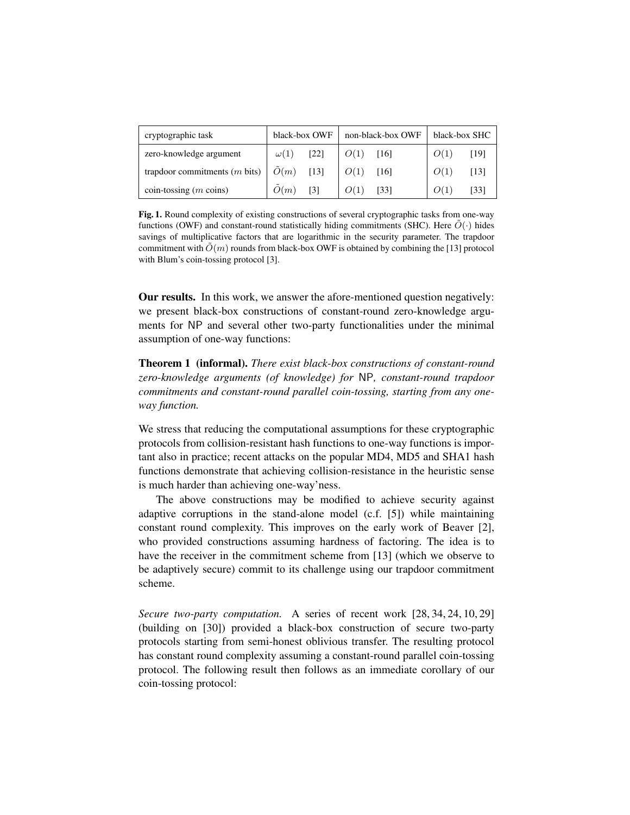| cryptographic task                      | black-box OWF  |                    | non-black-box OWF |                    | black-box SHC |                    |
|-----------------------------------------|----------------|--------------------|-------------------|--------------------|---------------|--------------------|
| zero-knowledge argument                 | $\omega(1)$    | $\lceil 22 \rceil$ | O(1)              | [16]               | O(1)          | [19]               |
| trapdoor commitments $(m \text{ bits})$ | $\tilde{O}(m)$ | [13]               | O(1)              | [16]               | O(1)          | [13]               |
| coin-tossing $(m \text{ coins})$        | O(m)           | $\lceil 3 \rceil$  | O(1)              | $\lceil 33 \rceil$ | O(1)          | $\lceil 33 \rceil$ |

Fig. 1. Round complexity of existing constructions of several cryptographic tasks from one-way functions (OWF) and constant-round statistically hiding commitments (SHC). Here  $\tilde{O}(\cdot)$  hides savings of multiplicative factors that are logarithmic in the security parameter. The trapdoor commitment with  $\tilde{O}(m)$  rounds from black-box OWF is obtained by combining the [13] protocol with Blum's coin-tossing protocol [3].

Our results. In this work, we answer the afore-mentioned question negatively: we present black-box constructions of constant-round zero-knowledge arguments for NP and several other two-party functionalities under the minimal assumption of one-way functions:

Theorem 1 (informal). *There exist black-box constructions of constant-round zero-knowledge arguments (of knowledge) for* NP*, constant-round trapdoor commitments and constant-round parallel coin-tossing, starting from any oneway function.*

We stress that reducing the computational assumptions for these cryptographic protocols from collision-resistant hash functions to one-way functions is important also in practice; recent attacks on the popular MD4, MD5 and SHA1 hash functions demonstrate that achieving collision-resistance in the heuristic sense is much harder than achieving one-way'ness.

The above constructions may be modified to achieve security against adaptive corruptions in the stand-alone model (c.f. [5]) while maintaining constant round complexity. This improves on the early work of Beaver [2], who provided constructions assuming hardness of factoring. The idea is to have the receiver in the commitment scheme from [13] (which we observe to be adaptively secure) commit to its challenge using our trapdoor commitment scheme.

*Secure two-party computation.* A series of recent work [28, 34, 24, 10, 29] (building on [30]) provided a black-box construction of secure two-party protocols starting from semi-honest oblivious transfer. The resulting protocol has constant round complexity assuming a constant-round parallel coin-tossing protocol. The following result then follows as an immediate corollary of our coin-tossing protocol: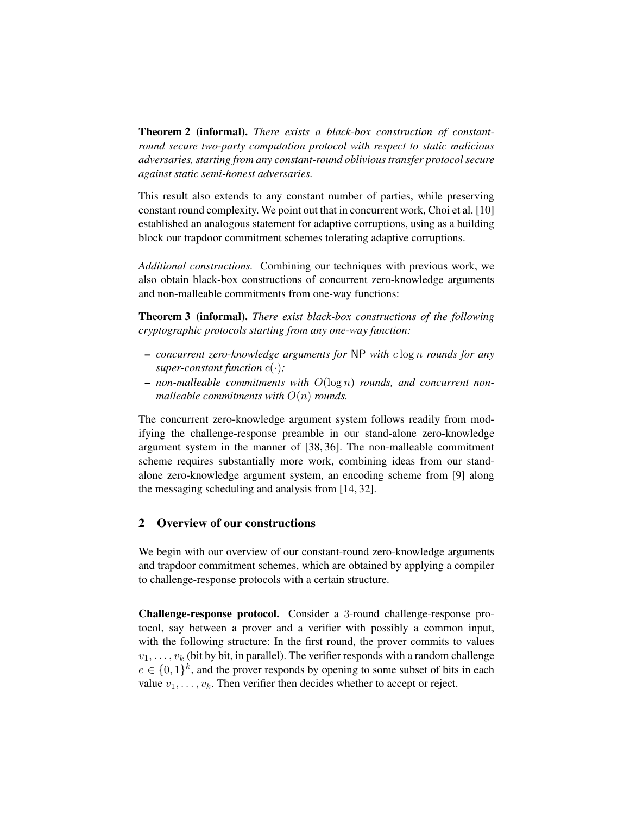Theorem 2 (informal). *There exists a black-box construction of constantround secure two-party computation protocol with respect to static malicious adversaries, starting from any constant-round oblivious transfer protocol secure against static semi-honest adversaries.*

This result also extends to any constant number of parties, while preserving constant round complexity. We point out that in concurrent work, Choi et al. [10] established an analogous statement for adaptive corruptions, using as a building block our trapdoor commitment schemes tolerating adaptive corruptions.

*Additional constructions.* Combining our techniques with previous work, we also obtain black-box constructions of concurrent zero-knowledge arguments and non-malleable commitments from one-way functions:

Theorem 3 (informal). *There exist black-box constructions of the following cryptographic protocols starting from any one-way function:*

- *concurrent zero-knowledge arguments for* NP *with* c log n *rounds for any super-constant function*  $c(\cdot)$ *;*
- *non-malleable commitments with* O(log n) *rounds, and concurrent nonmalleable commitments with* O(n) *rounds.*

The concurrent zero-knowledge argument system follows readily from modifying the challenge-response preamble in our stand-alone zero-knowledge argument system in the manner of [38, 36]. The non-malleable commitment scheme requires substantially more work, combining ideas from our standalone zero-knowledge argument system, an encoding scheme from [9] along the messaging scheduling and analysis from [14, 32].

# 2 Overview of our constructions

We begin with our overview of our constant-round zero-knowledge arguments and trapdoor commitment schemes, which are obtained by applying a compiler to challenge-response protocols with a certain structure.

Challenge-response protocol. Consider a 3-round challenge-response protocol, say between a prover and a verifier with possibly a common input, with the following structure: In the first round, the prover commits to values  $v_1, \ldots, v_k$  (bit by bit, in parallel). The verifier responds with a random challenge  $e \in \{0,1\}^k$ , and the prover responds by opening to some subset of bits in each value  $v_1, \ldots, v_k$ . Then verifier then decides whether to accept or reject.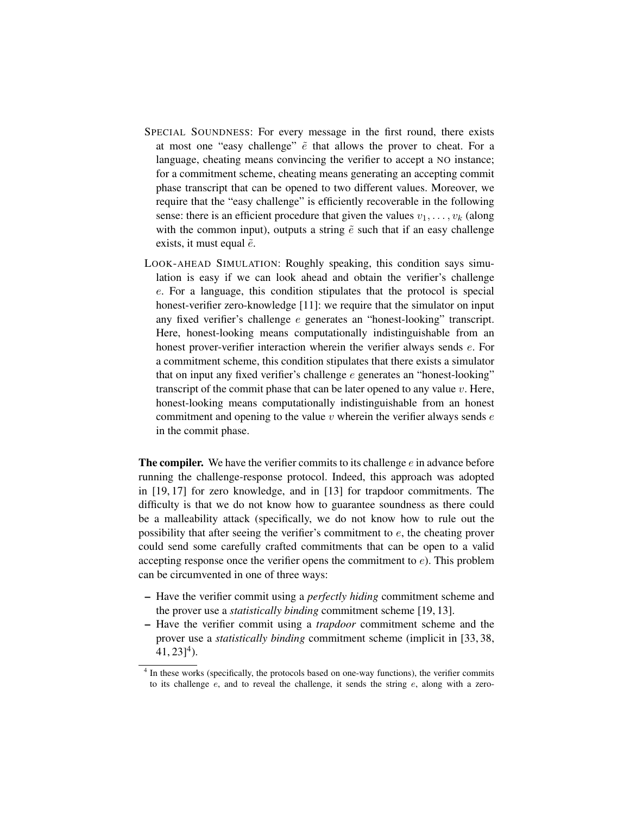- SPECIAL SOUNDNESS: For every message in the first round, there exists at most one "easy challenge"  $\tilde{e}$  that allows the prover to cheat. For a language, cheating means convincing the verifier to accept a NO instance; for a commitment scheme, cheating means generating an accepting commit phase transcript that can be opened to two different values. Moreover, we require that the "easy challenge" is efficiently recoverable in the following sense: there is an efficient procedure that given the values  $v_1, \ldots, v_k$  (along with the common input), outputs a string  $\tilde{e}$  such that if an easy challenge exists, it must equal  $\tilde{e}$ .
- LOOK-AHEAD SIMULATION: Roughly speaking, this condition says simulation is easy if we can look ahead and obtain the verifier's challenge e. For a language, this condition stipulates that the protocol is special honest-verifier zero-knowledge [11]: we require that the simulator on input any fixed verifier's challenge e generates an "honest-looking" transcript. Here, honest-looking means computationally indistinguishable from an honest prover-verifier interaction wherein the verifier always sends e. For a commitment scheme, this condition stipulates that there exists a simulator that on input any fixed verifier's challenge  $e$  generates an "honest-looking" transcript of the commit phase that can be later opened to any value  $v$ . Here, honest-looking means computationally indistinguishable from an honest commitment and opening to the value  $v$  wherein the verifier always sends  $e$ in the commit phase.

**The compiler.** We have the verifier commits to its challenge  $e$  in advance before running the challenge-response protocol. Indeed, this approach was adopted in [19, 17] for zero knowledge, and in [13] for trapdoor commitments. The difficulty is that we do not know how to guarantee soundness as there could be a malleability attack (specifically, we do not know how to rule out the possibility that after seeing the verifier's commitment to e, the cheating prover could send some carefully crafted commitments that can be open to a valid accepting response once the verifier opens the commitment to e). This problem can be circumvented in one of three ways:

- Have the verifier commit using a *perfectly hiding* commitment scheme and the prover use a *statistically binding* commitment scheme [19, 13].
- Have the verifier commit using a *trapdoor* commitment scheme and the prover use a *statistically binding* commitment scheme (implicit in [33, 38,  $41, 23]$ <sup>4</sup>).

<sup>&</sup>lt;sup>4</sup> In these works (specifically, the protocols based on one-way functions), the verifier commits to its challenge  $e$ , and to reveal the challenge, it sends the string  $e$ , along with a zero-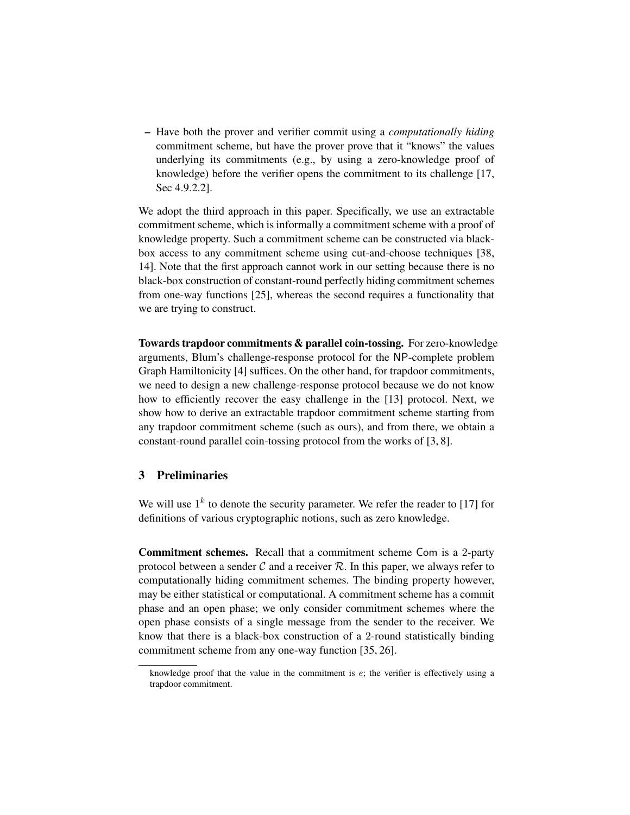– Have both the prover and verifier commit using a *computationally hiding* commitment scheme, but have the prover prove that it "knows" the values underlying its commitments (e.g., by using a zero-knowledge proof of knowledge) before the verifier opens the commitment to its challenge [17, Sec 4.9.2.2].

We adopt the third approach in this paper. Specifically, we use an extractable commitment scheme, which is informally a commitment scheme with a proof of knowledge property. Such a commitment scheme can be constructed via blackbox access to any commitment scheme using cut-and-choose techniques [38, 14]. Note that the first approach cannot work in our setting because there is no black-box construction of constant-round perfectly hiding commitment schemes from one-way functions [25], whereas the second requires a functionality that we are trying to construct.

Towards trapdoor commitments & parallel coin-tossing. For zero-knowledge arguments, Blum's challenge-response protocol for the NP-complete problem Graph Hamiltonicity [4] suffices. On the other hand, for trapdoor commitments, we need to design a new challenge-response protocol because we do not know how to efficiently recover the easy challenge in the [13] protocol. Next, we show how to derive an extractable trapdoor commitment scheme starting from any trapdoor commitment scheme (such as ours), and from there, we obtain a constant-round parallel coin-tossing protocol from the works of [3, 8].

# 3 Preliminaries

We will use  $1^k$  to denote the security parameter. We refer the reader to [17] for definitions of various cryptographic notions, such as zero knowledge.

Commitment schemes. Recall that a commitment scheme Com is a 2-party protocol between a sender  $\mathcal C$  and a receiver  $\mathcal R$ . In this paper, we always refer to computationally hiding commitment schemes. The binding property however, may be either statistical or computational. A commitment scheme has a commit phase and an open phase; we only consider commitment schemes where the open phase consists of a single message from the sender to the receiver. We know that there is a black-box construction of a 2-round statistically binding commitment scheme from any one-way function [35, 26].

knowledge proof that the value in the commitment is  $e$ ; the verifier is effectively using a trapdoor commitment.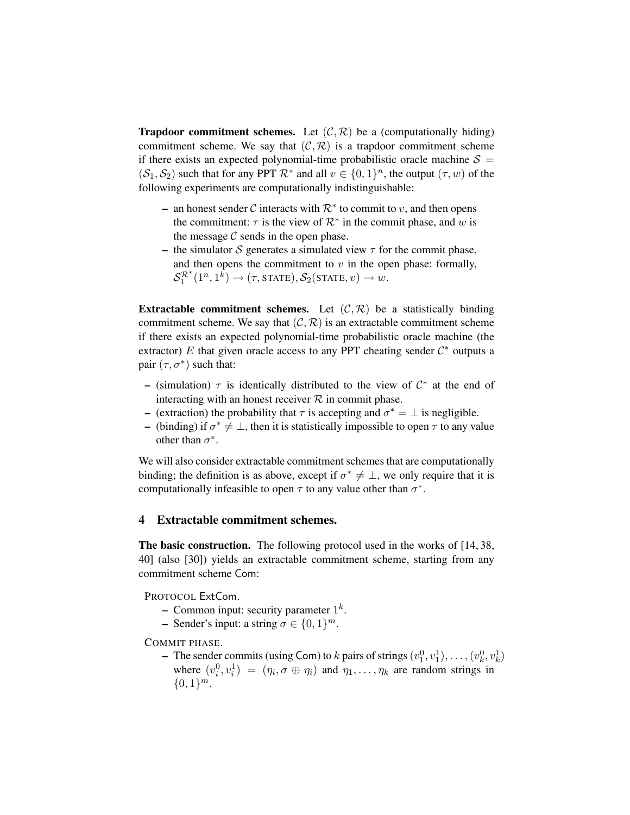**Trapdoor commitment schemes.** Let  $(C, \mathcal{R})$  be a (computationally hiding) commitment scheme. We say that  $(C, \mathcal{R})$  is a trapdoor commitment scheme if there exists an expected polynomial-time probabilistic oracle machine  $S =$  $(S_1, S_2)$  such that for any PPT  $\mathcal{R}^*$  and all  $v \in \{0, 1\}^n$ , the output  $(\tau, w)$  of the following experiments are computationally indistinguishable:

- an honest sender C interacts with  $\mathcal{R}^*$  to commit to v, and then opens the commitment:  $\tau$  is the view of  $\mathcal{R}^*$  in the commit phase, and w is the message  $\mathcal C$  sends in the open phase.
- the simulator S generates a simulated view  $\tau$  for the commit phase, and then opens the commitment to  $v$  in the open phase: formally,  $\mathcal{S}_1^{\mathcal{R}^*}(1^n,1^{\bar{k}}) \rightarrow (\tau,\text{STATE}), \mathcal{S}_2(\text{STATE},v) \rightarrow w.$

**Extractable commitment schemes.** Let  $(C, \mathcal{R})$  be a statistically binding commitment scheme. We say that  $(C, \mathcal{R})$  is an extractable commitment scheme if there exists an expected polynomial-time probabilistic oracle machine (the extractor) E that given oracle access to any PPT cheating sender  $C^*$  outputs a pair  $(\tau, \sigma^*)$  such that:

- $-$  (simulation)  $\tau$  is identically distributed to the view of  $\mathcal{C}^*$  at the end of interacting with an honest receiver  $R$  in commit phase.
- (extraction) the probability that  $\tau$  is accepting and  $\sigma^* = \bot$  is negligible.
- (binding) if  $\sigma^* \neq \perp$ , then it is statistically impossible to open  $\tau$  to any value other than  $\sigma^*$ .

We will also consider extractable commitment schemes that are computationally binding; the definition is as above, except if  $\sigma^* \neq \bot$ , we only require that it is computationally infeasible to open  $\tau$  to any value other than  $\sigma^*$ .

# 4 Extractable commitment schemes.

The basic construction. The following protocol used in the works of [14, 38, 40] (also [30]) yields an extractable commitment scheme, starting from any commitment scheme Com:

PROTOCOL ExtCom.

- Common input: security parameter  $1^k$ .
- Sender's input: a string  $\sigma \in \{0, 1\}^m$ .

COMMIT PHASE.

- The sender commits (using Com) to k pairs of strings  $(v_1^0, v_1^1), \ldots, (v_k^0, v_k^1)$ where  $(v_i^0, v_i^1) = (\eta_i, \sigma \oplus \eta_i)$  and  $\eta_1, \ldots, \eta_k$  are random strings in  ${0,1}^m$ .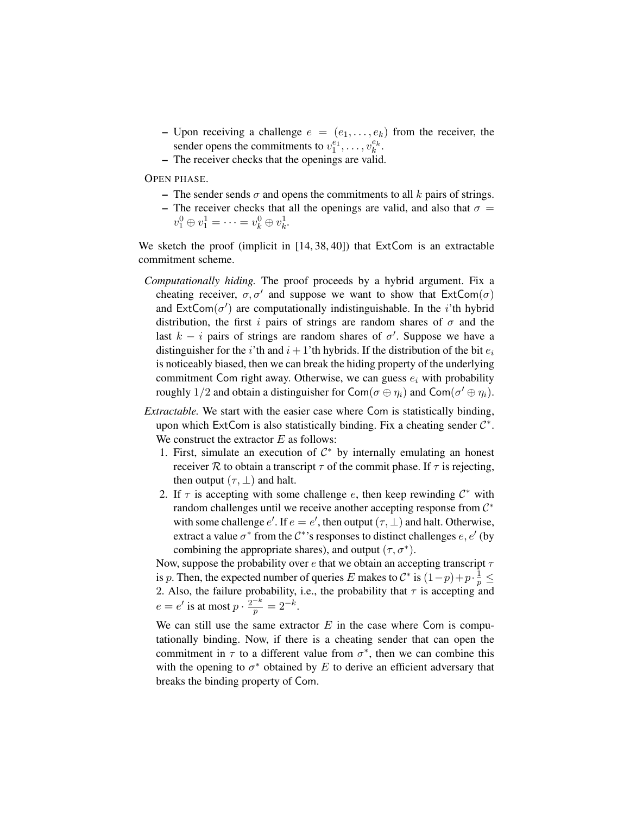- Upon receiving a challenge  $e = (e_1, \ldots, e_k)$  from the receiver, the sender opens the commitments to  $v_1^{e_1}, \ldots, v_k^{e_k}$ .
- The receiver checks that the openings are valid.

OPEN PHASE.

- The sender sends  $\sigma$  and opens the commitments to all k pairs of strings.
- The receiver checks that all the openings are valid, and also that  $\sigma =$  $v_1^0 \oplus v_1^1 = \cdots = v_k^0 \oplus v_k^1.$

We sketch the proof (implicit in [14, 38, 40]) that ExtCom is an extractable commitment scheme.

- *Computationally hiding.* The proof proceeds by a hybrid argument. Fix a cheating receiver,  $\sigma$ ,  $\sigma'$  and suppose we want to show that  $ExtCom(\sigma)$ and  $ExtCom(\sigma')$  are computationally indistinguishable. In the *i*'th hybrid distribution, the first i pairs of strings are random shares of  $\sigma$  and the last  $k - i$  pairs of strings are random shares of  $\sigma'$ . Suppose we have a distinguisher for the i'th and  $i + 1$ 'th hybrids. If the distribution of the bit  $e_i$ is noticeably biased, then we can break the hiding property of the underlying commitment Com right away. Otherwise, we can guess  $e_i$  with probability roughly 1/2 and obtain a distinguisher for Com $(\sigma \oplus \eta_i)$  and Com $(\sigma' \oplus \eta_i)$ .
- *Extractable.* We start with the easier case where Com is statistically binding, upon which ExtCom is also statistically binding. Fix a cheating sender  $C^*$ . We construct the extractor  $E$  as follows:
	- 1. First, simulate an execution of  $C^*$  by internally emulating an honest receiver R to obtain a transcript  $\tau$  of the commit phase. If  $\tau$  is rejecting, then output  $(\tau, \perp)$  and halt.
	- 2. If  $\tau$  is accepting with some challenge e, then keep rewinding  $C^*$  with random challenges until we receive another accepting response from  $\mathcal{C}^*$ with some challenge e'. If  $e = e'$ , then output  $(\tau, \perp)$  and halt. Otherwise, extract a value  $\sigma^*$  from the  $\mathcal{C}^*$ 's responses to distinct challenges  $e, e'$  (by combining the appropriate shares), and output  $(\tau, \sigma^*)$ .

Now, suppose the probability over  $e$  that we obtain an accepting transcript  $\tau$ is p. Then, the expected number of queries E makes to  $\mathcal{C}^*$  is  $(1-p)+p\cdot\frac{1}{p}\leq$ 2. Also, the failure probability, i.e., the probability that  $\tau$  is accepting and  $e = e'$  is at most  $p \cdot \frac{2^{-k}}{n}$  $\frac{-k}{p} = 2^{-k}.$ 

We can still use the same extractor  $E$  in the case where Com is computationally binding. Now, if there is a cheating sender that can open the commitment in  $\tau$  to a different value from  $\sigma^*$ , then we can combine this with the opening to  $\sigma^*$  obtained by E to derive an efficient adversary that breaks the binding property of Com.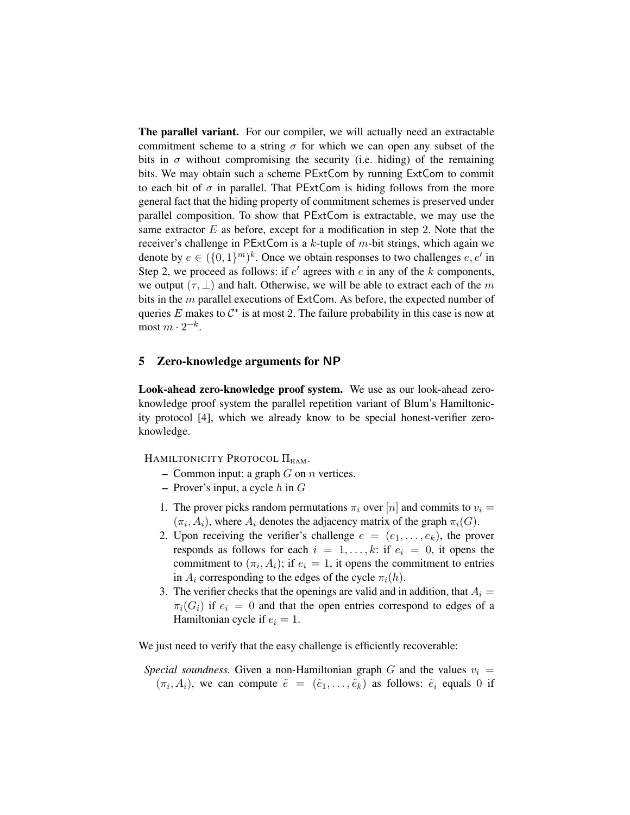The parallel variant. For our compiler, we will actually need an extractable commitment scheme to a string  $\sigma$  for which we can open any subset of the bits in  $\sigma$  without compromising the security (i.e. hiding) of the remaining bits. We may obtain such a scheme PExtCom by running ExtCom to commit to each bit of  $\sigma$  in parallel. That PExtCom is hiding follows from the more general fact that the hiding property of commitment schemes is preserved under parallel composition. To show that PExtCom is extractable, we may use the same extractor  $E$  as before, except for a modification in step 2. Note that the receiver's challenge in PExtCom is a  $k$ -tuple of  $m$ -bit strings, which again we denote by  $e \in (\{0,1\}^m)^k$ . Once we obtain responses to two challenges  $e, e'$  in Step 2, we proceed as follows: if  $e'$  agrees with  $e$  in any of the  $k$  components, we output  $(\tau, \perp)$  and halt. Otherwise, we will be able to extract each of the m bits in the  $m$  parallel executions of ExtCom. As before, the expected number of queries  $E$  makes to  $C^*$  is at most 2. The failure probability in this case is now at most  $m \cdot 2^{-k}$ .

#### 5 Zero-knowledge arguments for NP

Look-ahead zero-knowledge proof system. We use as our look-ahead zeroknowledge proof system the parallel repetition variant of Blum's Hamiltonicity protocol [4], which we already know to be special honest-verifier zeroknowledge.

HAMILTONICITY PROTOCOL  $\Pi_{HAM}$ .

- Common input: a graph  $G$  on  $n$  vertices.
- Prover's input, a cycle  $h$  in  $G$
- 1. The prover picks random permutations  $\pi_i$  over  $[n]$  and commits to  $v_i =$  $(\pi_i, A_i)$ , where  $A_i$  denotes the adjacency matrix of the graph  $\pi_i(G)$ .
- 2. Upon receiving the verifier's challenge  $e = (e_1, \ldots, e_k)$ , the prover responds as follows for each  $i = 1, \ldots, k$ : if  $e_i = 0$ , it opens the commitment to  $(\pi_i, A_i)$ ; if  $e_i = 1$ , it opens the commitment to entries in  $A_i$  corresponding to the edges of the cycle  $\pi_i(h)$ .
- 3. The verifier checks that the openings are valid and in addition, that  $A_i =$  $\pi_i(G_i)$  if  $e_i = 0$  and that the open entries correspond to edges of a Hamiltonian cycle if  $e_i = 1$ .

We just need to verify that the easy challenge is efficiently recoverable:

*Special soundness.* Given a non-Hamiltonian graph G and the values  $v_i$  =  $(\pi_i, A_i)$ , we can compute  $\tilde{e} = (\tilde{e}_1, \dots, \tilde{e}_k)$  as follows:  $\tilde{e}_i$  equals 0 if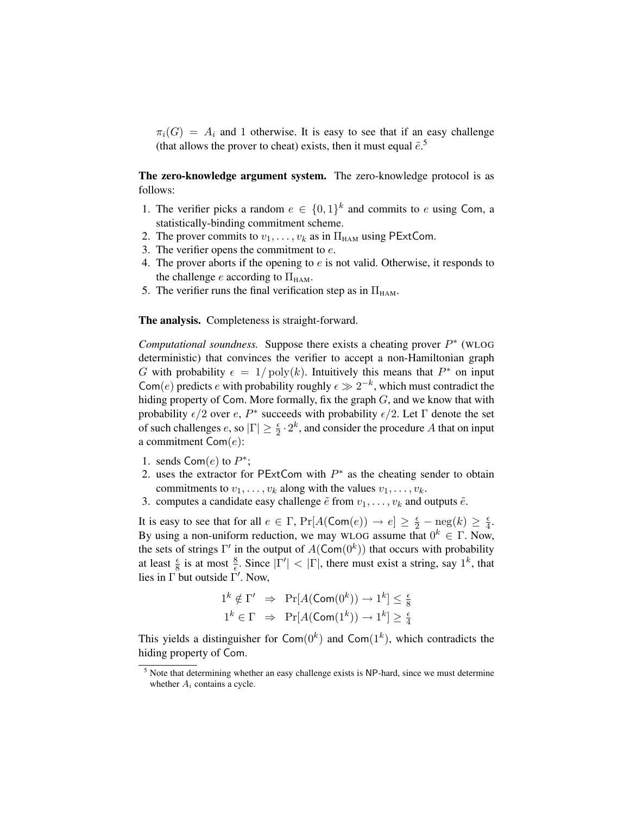$\pi_i(G) = A_i$  and 1 otherwise. It is easy to see that if an easy challenge (that allows the prover to cheat) exists, then it must equal  $\tilde{e}$ .<sup>5</sup>

The zero-knowledge argument system. The zero-knowledge protocol is as follows:

- 1. The verifier picks a random  $e \in \{0,1\}^k$  and commits to e using Com, a statistically-binding commitment scheme.
- 2. The prover commits to  $v_1, \ldots, v_k$  as in  $\Pi_{HAM}$  using PExtCom.
- 3. The verifier opens the commitment to e.
- 4. The prover aborts if the opening to  $e$  is not valid. Otherwise, it responds to the challenge *e* according to  $\Pi_{HAM}$ .
- 5. The verifier runs the final verification step as in  $\Pi_{HAM}$ .

The analysis. Completeness is straight-forward.

Computational soundness. Suppose there exists a cheating prover  $P^*$  (WLOG deterministic) that convinces the verifier to accept a non-Hamiltonian graph G with probability  $\epsilon = 1/\text{poly}(k)$ . Intuitively this means that  $P^*$  on input Com(e) predicts e with probability roughly  $\epsilon \gg 2^{-k}$ , which must contradict the hiding property of Com. More formally, fix the graph  $G$ , and we know that with probability  $\epsilon/2$  over e,  $P^*$  succeeds with probability  $\epsilon/2$ . Let  $\Gamma$  denote the set of such challenges  $e$ , so  $|\Gamma| \geq \frac{\epsilon}{2} \cdot 2^k$ , and consider the procedure A that on input a commitment  $Com(e)$ :

- 1. sends  $\mathsf{Com}(e)$  to  $P^*$ ;
- 2. uses the extractor for PExtCom with  $P^*$  as the cheating sender to obtain commitments to  $v_1, \ldots, v_k$  along with the values  $v_1, \ldots, v_k$ .
- 3. computes a candidate easy challenge  $\tilde{e}$  from  $v_1, \ldots, v_k$  and outputs  $\tilde{e}$ .

It is easy to see that for all  $e \in \Gamma$ ,  $Pr[A(\textsf{Com}(e)) \to e] \geq \frac{\epsilon}{2} - \text{neg}(k) \geq \frac{\epsilon}{4}$  $\frac{\epsilon}{4}$ . By using a non-uniform reduction, we may WLOG assume that  $0^k \in \Gamma$ . Now, the sets of strings  $\Gamma'$  in the output of  $A(\text{Com}(0^k))$  that occurs with probability at least  $\frac{\epsilon}{8}$  is at most  $\frac{8}{\epsilon}$ . Since  $|\Gamma'| < |\Gamma|$ , there must exist a string, say  $1^k$ , that lies in  $\Gamma$  but outside  $\Gamma'$ . Now,

$$
1^k \notin \Gamma' \Rightarrow \Pr[A(\text{Com}(0^k)) \to 1^k] \le \frac{\epsilon}{8}
$$
  

$$
1^k \in \Gamma \Rightarrow \Pr[A(\text{Com}(1^k)) \to 1^k] \ge \frac{\epsilon}{4}
$$

This yields a distinguisher for Com $(0^k)$  and Com $(1^k)$ , which contradicts the hiding property of Com.

 $<sup>5</sup>$  Note that determining whether an easy challenge exists is NP-hard, since we must determine</sup> whether  $A_i$  contains a cycle.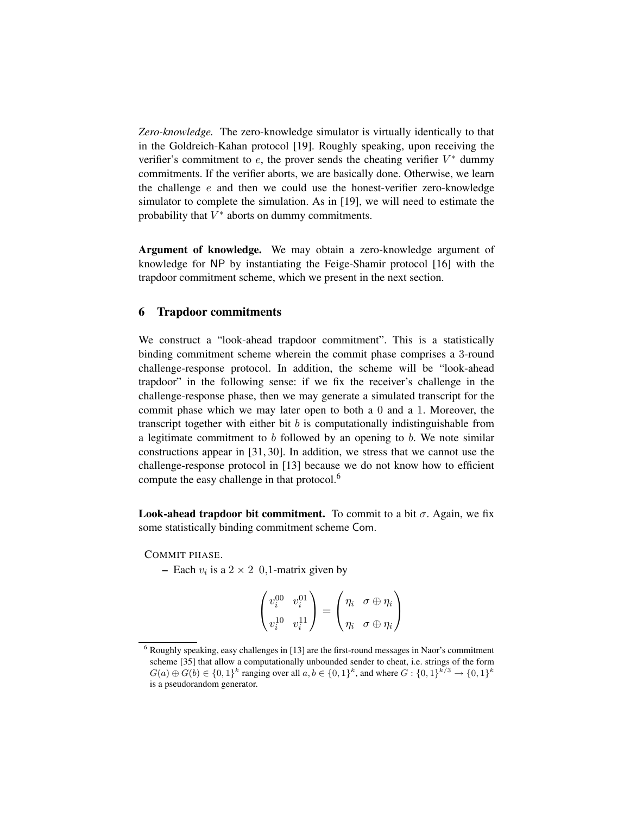*Zero-knowledge.* The zero-knowledge simulator is virtually identically to that in the Goldreich-Kahan protocol [19]. Roughly speaking, upon receiving the verifier's commitment to  $e$ , the prover sends the cheating verifier  $V^*$  dummy commitments. If the verifier aborts, we are basically done. Otherwise, we learn the challenge  $e$  and then we could use the honest-verifier zero-knowledge simulator to complete the simulation. As in [19], we will need to estimate the probability that  $V^*$  aborts on dummy commitments.

Argument of knowledge. We may obtain a zero-knowledge argument of knowledge for NP by instantiating the Feige-Shamir protocol [16] with the trapdoor commitment scheme, which we present in the next section.

# 6 Trapdoor commitments

We construct a "look-ahead trapdoor commitment". This is a statistically binding commitment scheme wherein the commit phase comprises a 3-round challenge-response protocol. In addition, the scheme will be "look-ahead trapdoor" in the following sense: if we fix the receiver's challenge in the challenge-response phase, then we may generate a simulated transcript for the commit phase which we may later open to both a 0 and a 1. Moreover, the transcript together with either bit  $b$  is computationally indistinguishable from a legitimate commitment to  $b$  followed by an opening to  $b$ . We note similar constructions appear in [31, 30]. In addition, we stress that we cannot use the challenge-response protocol in [13] because we do not know how to efficient compute the easy challenge in that protocol.<sup>6</sup>

**Look-ahead trapdoor bit commitment.** To commit to a bit  $\sigma$ . Again, we fix some statistically binding commitment scheme Com.

COMMIT PHASE.

- Each  $v_i$  is a  $2 \times 2$  0,1-matrix given by

$$
\begin{pmatrix} v_i^{00} & v_i^{01} \\ v_i^{10} & v_i^{11} \end{pmatrix} = \begin{pmatrix} \eta_i & \sigma \oplus \eta_i \\ \eta_i & \sigma \oplus \eta_i \end{pmatrix}
$$

<sup>6</sup> Roughly speaking, easy challenges in [13] are the first-round messages in Naor's commitment scheme [35] that allow a computationally unbounded sender to cheat, i.e. strings of the form  $G(a) \oplus G(b) \in \{0,1\}^k$  ranging over all  $a, b \in \{0,1\}^k$ , and where  $G: \{0,1\}^{k/3} \to \{0,1\}^k$ is a pseudorandom generator.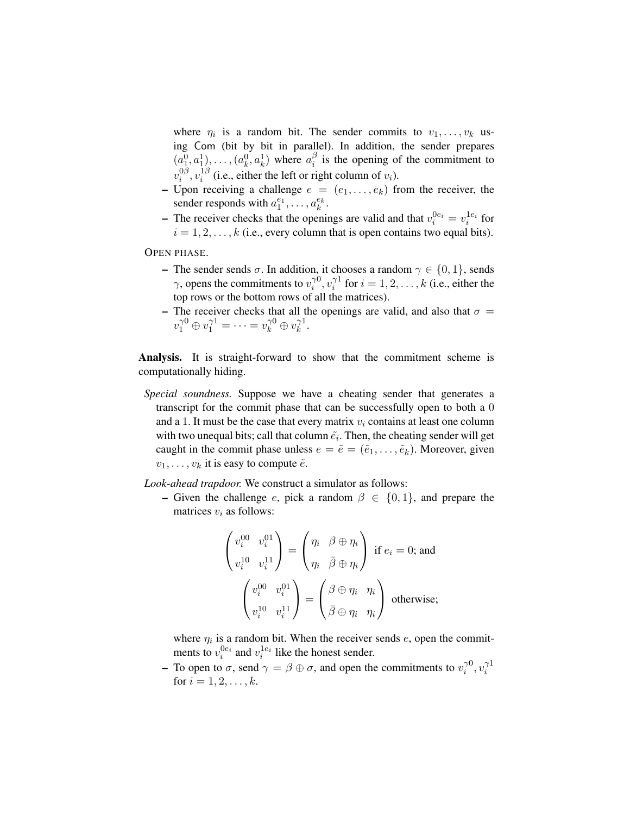where  $\eta_i$  is a random bit. The sender commits to  $v_1, \ldots, v_k$  using Com (bit by bit in parallel). In addition, the sender prepares  $(a_1^0, a_1^1), \ldots, (a_k^0, a_k^1)$  where  $a_i^{\beta}$  $\sum_{i=1}^{p}$  is the opening of the commitment to  $v_i^{0\beta}$  $_{i}^{0\beta},v_{i}^{1\beta}$  $i^{1/2}$  (i.e., either the left or right column of  $v_i$ ).

- Upon receiving a challenge  $e = (e_1, \ldots, e_k)$  from the receiver, the sender responds with  $a_1^{e_1}, \ldots, a_k^{e_k}$ .
- The receiver checks that the openings are valid and that  $v_i^{0e_i} = v_i^{1e_i}$  for  $i = 1, 2, \ldots, k$  (i.e., every column that is open contains two equal bits).

OPEN PHASE.

- The sender sends  $\sigma$ . In addition, it chooses a random  $\gamma \in \{0, 1\}$ , sends  $\gamma$ , opens the commitments to  $v_i^{\gamma 0}$  $\tilde{v}^0, v_i^{\gamma 1}$  $i^{\gamma_1}$  for  $i = 1, 2, \ldots, k$  (i.e., either the top rows or the bottom rows of all the matrices).
- The receiver checks that all the openings are valid, and also that  $\sigma$  =  $v_1^{\gamma 0} \oplus v_1^{\gamma 1} = \cdots = v_k^{\gamma 0} \oplus v_k^{\gamma 1}$  $\hat{k}^{\mathbf{1}}$ .

Analysis. It is straight-forward to show that the commitment scheme is computationally hiding.

*Special soundness.* Suppose we have a cheating sender that generates a transcript for the commit phase that can be successfully open to both a 0 and a 1. It must be the case that every matrix  $v_i$  contains at least one column with two unequal bits; call that column  $\tilde{e_i}$ . Then, the cheating sender will get caught in the commit phase unless  $e = \tilde{e} = (\tilde{e}_1, \dots, \tilde{e}_k)$ . Moreover, given  $v_1, \ldots, v_k$  it is easy to compute  $\tilde{e}$ .

*Look-ahead trapdoor.* We construct a simulator as follows:

– Given the challenge e, pick a random  $\beta \in \{0, 1\}$ , and prepare the matrices  $v_i$  as follows:

$$
\begin{pmatrix} v_i^{00} & v_i^{01} \\ v_i^{10} & v_i^{11} \end{pmatrix} = \begin{pmatrix} \eta_i & \beta \oplus \eta_i \\ \eta_i & \bar{\beta} \oplus \eta_i \end{pmatrix}
$$
 if  $e_i = 0$ ; and  

$$
\begin{pmatrix} v_i^{00} & v_i^{01} \\ v_i^{10} & v_i^{11} \end{pmatrix} = \begin{pmatrix} \beta \oplus \eta_i & \eta_i \\ \bar{\beta} \oplus \eta_i & \eta_i \end{pmatrix}
$$
 otherwise;

where  $\eta_i$  is a random bit. When the receiver sends e, open the commitments to  $v_i^{0e_i}$  and  $v_i^{1e_i}$  like the honest sender.

– To open to  $\sigma$ , send  $\gamma = \beta \oplus \sigma$ , and open the commitments to  $v_i^{\gamma 0}$  $\tilde{v}^0, v_i^{\gamma 1}$ i for  $i = 1, 2, ..., k$ .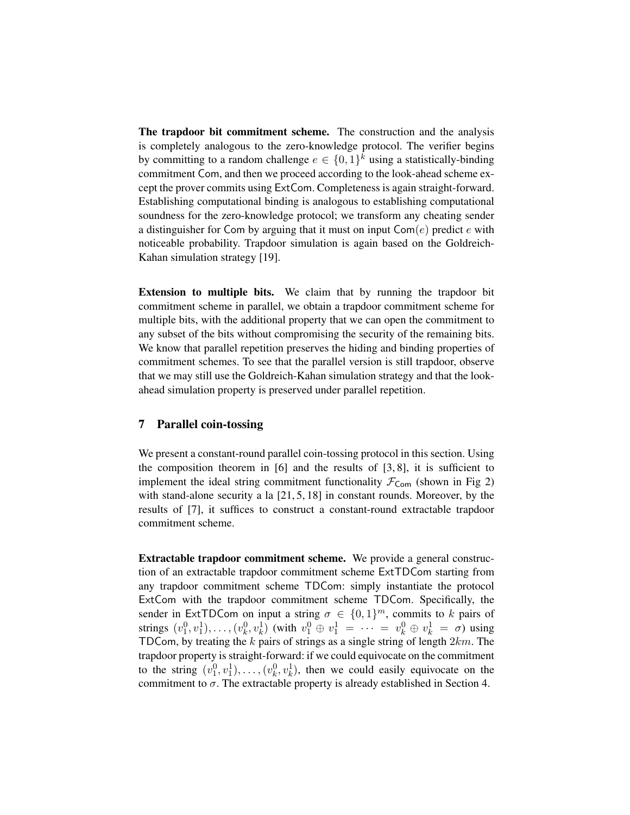The trapdoor bit commitment scheme. The construction and the analysis is completely analogous to the zero-knowledge protocol. The verifier begins by committing to a random challenge  $e \in \{0,1\}^k$  using a statistically-binding commitment Com, and then we proceed according to the look-ahead scheme except the prover commits using ExtCom. Completeness is again straight-forward. Establishing computational binding is analogous to establishing computational soundness for the zero-knowledge protocol; we transform any cheating sender a distinguisher for Com by arguing that it must on input  $Com(e)$  predict e with noticeable probability. Trapdoor simulation is again based on the Goldreich-Kahan simulation strategy [19].

Extension to multiple bits. We claim that by running the trapdoor bit commitment scheme in parallel, we obtain a trapdoor commitment scheme for multiple bits, with the additional property that we can open the commitment to any subset of the bits without compromising the security of the remaining bits. We know that parallel repetition preserves the hiding and binding properties of commitment schemes. To see that the parallel version is still trapdoor, observe that we may still use the Goldreich-Kahan simulation strategy and that the lookahead simulation property is preserved under parallel repetition.

# 7 Parallel coin-tossing

We present a constant-round parallel coin-tossing protocol in this section. Using the composition theorem in [6] and the results of [3, 8], it is sufficient to implement the ideal string commitment functionality  $\mathcal{F}_{Com}$  (shown in Fig 2) with stand-alone security a la  $[21, 5, 18]$  in constant rounds. Moreover, by the results of [7], it suffices to construct a constant-round extractable trapdoor commitment scheme.

Extractable trapdoor commitment scheme. We provide a general construction of an extractable trapdoor commitment scheme ExtTDCom starting from any trapdoor commitment scheme TDCom: simply instantiate the protocol ExtCom with the trapdoor commitment scheme TDCom. Specifically, the sender in ExtTDCom on input a string  $\sigma \in \{0,1\}^m$ , commits to k pairs of strings  $(v_1^0, v_1^1), \ldots, (v_k^0, v_k^1)$  (with  $v_1^0 \oplus v_1^1 = \cdots = v_k^0 \oplus v_k^1 = \sigma$ ) using TDCom, by treating the  $k$  pairs of strings as a single string of length  $2km$ . The trapdoor property is straight-forward: if we could equivocate on the commitment to the string  $(v_1^0, v_1^1), \ldots, (v_k^0, v_k^1)$ , then we could easily equivocate on the commitment to  $\sigma$ . The extractable property is already established in Section 4.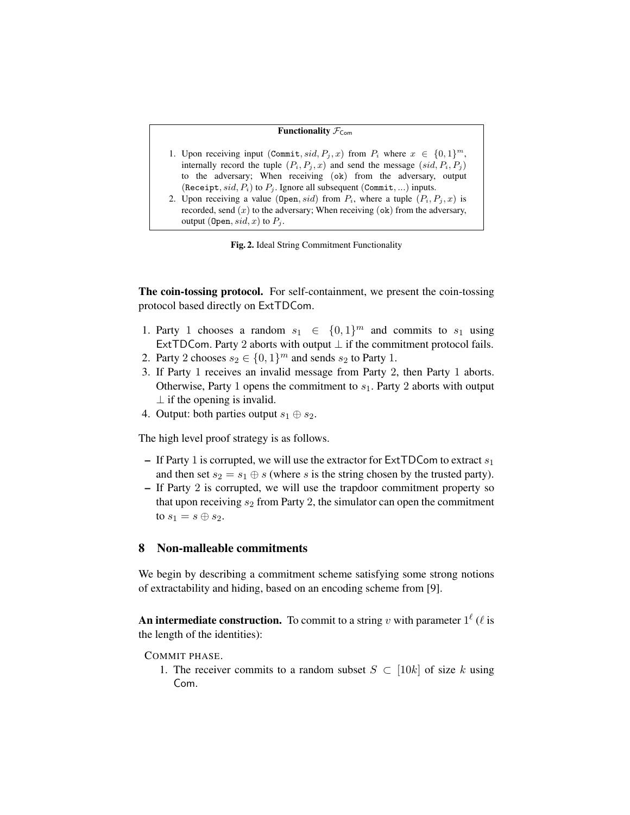| <b>Functionality</b> $\mathcal{F}_{Com}$                                                                                                                                |  |  |  |  |
|-------------------------------------------------------------------------------------------------------------------------------------------------------------------------|--|--|--|--|
| 1. Upon receiving input (Commit, sid, $P_i$ , x) from $P_i$ where $x \in \{0,1\}^m$ ,                                                                                   |  |  |  |  |
| internally record the tuple $(P_i, P_j, x)$ and send the message $(sid, P_i, P_j)$<br>to the adversary; When receiving (ok) from the adversary, output                  |  |  |  |  |
| (Receipt, $sid, P_i$ ) to $P_j$ . Ignore all subsequent (Commit, ) inputs.                                                                                              |  |  |  |  |
| 2. Upon receiving a value (0pen, sid) from $P_i$ , where a tuple $(P_i, P_j, x)$ is<br>recorded, send $(x)$ to the adversary; When receiving $(ok)$ from the adversary, |  |  |  |  |
| output (Open, $sid, x$ ) to $P_i$ .                                                                                                                                     |  |  |  |  |

Fig. 2. Ideal String Commitment Functionality

The coin-tossing protocol. For self-containment, we present the coin-tossing protocol based directly on ExtTDCom.

- 1. Party 1 chooses a random  $s_1 \in \{0,1\}^m$  and commits to  $s_1$  using ExtTDCom. Party 2 aborts with output  $\perp$  if the commitment protocol fails.
- 2. Party 2 chooses  $s_2 \in \{0,1\}^m$  and sends  $s_2$  to Party 1.
- 3. If Party 1 receives an invalid message from Party 2, then Party 1 aborts. Otherwise, Party 1 opens the commitment to  $s_1$ . Party 2 aborts with output  $\perp$  if the opening is invalid.
- 4. Output: both parties output  $s_1 \oplus s_2$ .

The high level proof strategy is as follows.

- If Party 1 is corrupted, we will use the extractor for  $ExtIDCom$  to extract  $s_1$ and then set  $s_2 = s_1 \oplus s$  (where s is the string chosen by the trusted party).
- If Party 2 is corrupted, we will use the trapdoor commitment property so that upon receiving  $s_2$  from Party 2, the simulator can open the commitment to  $s_1 = s \oplus s_2$ .

## 8 Non-malleable commitments

We begin by describing a commitment scheme satisfying some strong notions of extractability and hiding, based on an encoding scheme from [9].

An intermediate construction. To commit to a string v with parameter  $1^{\ell}$  ( $\ell$  is the length of the identities):

COMMIT PHASE.

1. The receiver commits to a random subset  $S \subset [10k]$  of size k using Com.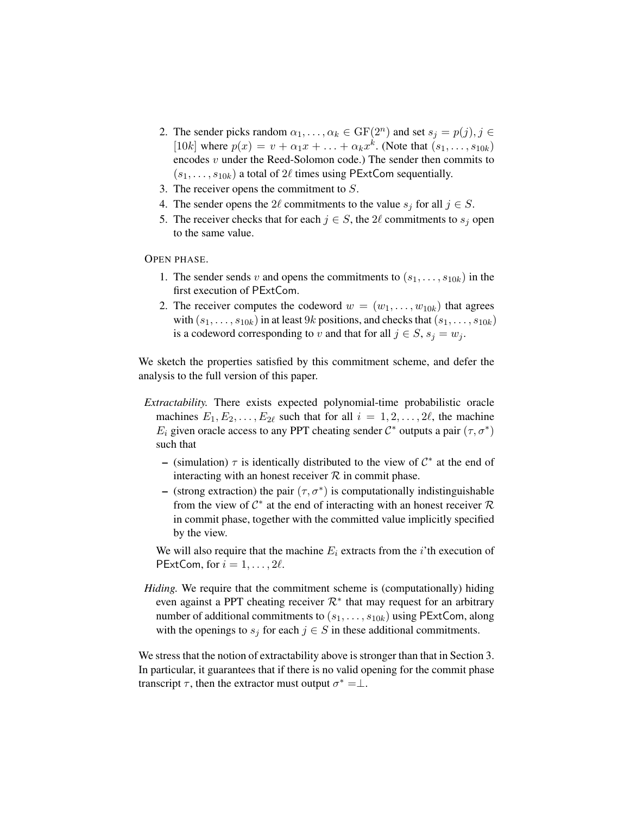- 2. The sender picks random  $\alpha_1, \dots, \alpha_k \in \text{GF}(2^n)$  and set  $s_j = p(j), j \in \mathbb{Z}$ [10k] where  $p(x) = v + \alpha_1 x + ... + \alpha_k x^k$ . (Note that  $(s_1, ..., s_{10k})$ encodes v under the Reed-Solomon code.) The sender then commits to  $(s_1, \ldots, s_{10k})$  a total of  $2\ell$  times using PExtCom sequentially.
- 3. The receiver opens the commitment to  $S$ .
- 4. The sender opens the 2 $\ell$  commitments to the value  $s_i$  for all  $j \in S$ .
- 5. The receiver checks that for each  $j \in S$ , the  $2\ell$  commitments to  $s_j$  open to the same value.

OPEN PHASE.

- 1. The sender sends v and opens the commitments to  $(s_1, \ldots, s_{10k})$  in the first execution of PExtCom.
- 2. The receiver computes the codeword  $w = (w_1, \ldots, w_{10k})$  that agrees with  $(s_1, \ldots, s_{10k})$  in at least 9k positions, and checks that  $(s_1, \ldots, s_{10k})$ is a codeword corresponding to v and that for all  $j \in S$ ,  $s_j = w_j$ .

We sketch the properties satisfied by this commitment scheme, and defer the analysis to the full version of this paper.

- *Extractability.* There exists expected polynomial-time probabilistic oracle machines  $E_1, E_2, \ldots, E_{2\ell}$  such that for all  $i = 1, 2, \ldots, 2\ell$ , the machine  $E_i$  given oracle access to any PPT cheating sender  $C^*$  outputs a pair  $(\tau, \sigma^*)$ such that
	- (simulation)  $\tau$  is identically distributed to the view of  $C^*$  at the end of interacting with an honest receiver  $R$  in commit phase.
	- (strong extraction) the pair  $(\tau, \sigma^*)$  is computationally indistinguishable from the view of  $C^*$  at the end of interacting with an honest receiver  $R$ in commit phase, together with the committed value implicitly specified by the view.

We will also require that the machine  $E_i$  extracts from the *i*'th execution of PExtCom, for  $i = 1, \ldots, 2\ell$ .

*Hiding.* We require that the commitment scheme is (computationally) hiding even against a PPT cheating receiver  $\mathcal{R}^*$  that may request for an arbitrary number of additional commitments to  $(s_1, \ldots, s_{10k})$  using PExtCom, along with the openings to  $s_j$  for each  $j \in S$  in these additional commitments.

We stress that the notion of extractability above is stronger than that in Section 3. In particular, it guarantees that if there is no valid opening for the commit phase transcript  $\tau$ , then the extractor must output  $\sigma^* = \perp$ .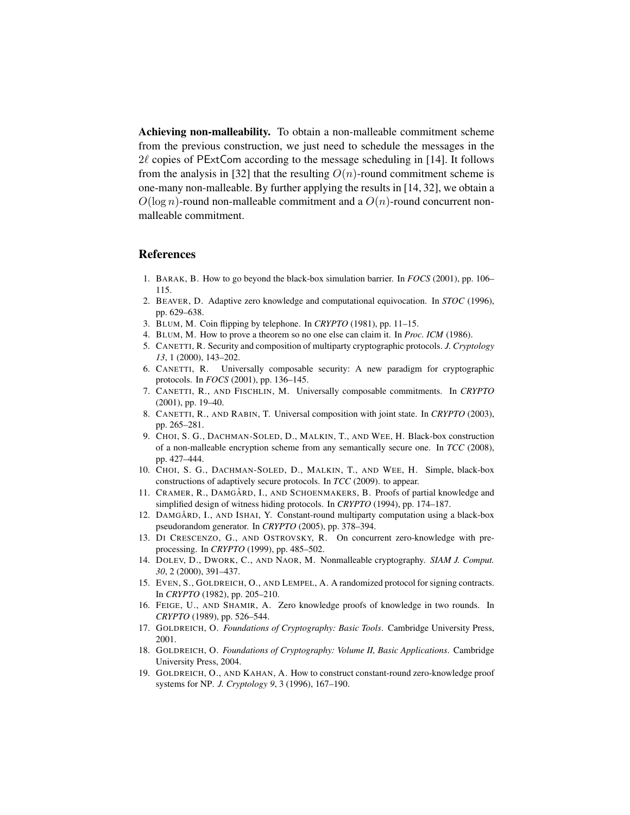Achieving non-malleability. To obtain a non-malleable commitment scheme from the previous construction, we just need to schedule the messages in the  $2\ell$  copies of PExtCom according to the message scheduling in [14]. It follows from the analysis in [32] that the resulting  $O(n)$ -round commitment scheme is one-many non-malleable. By further applying the results in [14, 32], we obtain a  $O(\log n)$ -round non-malleable commitment and a  $O(n)$ -round concurrent nonmalleable commitment.

## References

- 1. BARAK, B. How to go beyond the black-box simulation barrier. In *FOCS* (2001), pp. 106– 115.
- 2. BEAVER, D. Adaptive zero knowledge and computational equivocation. In *STOC* (1996), pp. 629–638.
- 3. BLUM, M. Coin flipping by telephone. In *CRYPTO* (1981), pp. 11–15.
- 4. BLUM, M. How to prove a theorem so no one else can claim it. In *Proc. ICM* (1986).
- 5. CANETTI, R. Security and composition of multiparty cryptographic protocols. *J. Cryptology 13*, 1 (2000), 143–202.
- 6. CANETTI, R. Universally composable security: A new paradigm for cryptographic protocols. In *FOCS* (2001), pp. 136–145.
- 7. CANETTI, R., AND FISCHLIN, M. Universally composable commitments. In *CRYPTO* (2001), pp. 19–40.
- 8. CANETTI, R., AND RABIN, T. Universal composition with joint state. In *CRYPTO* (2003), pp. 265–281.
- 9. CHOI, S. G., DACHMAN-SOLED, D., MALKIN, T., AND WEE, H. Black-box construction of a non-malleable encryption scheme from any semantically secure one. In *TCC* (2008), pp. 427–444.
- 10. CHOI, S. G., DACHMAN-SOLED, D., MALKIN, T., AND WEE, H. Simple, black-box constructions of adaptively secure protocols. In *TCC* (2009). to appear.
- 11. CRAMER, R., DAMGÅRD, I., AND SCHOENMAKERS, B. Proofs of partial knowledge and simplified design of witness hiding protocols. In *CRYPTO* (1994), pp. 174–187.
- 12. DAMGÅRD, I., AND ISHAI, Y. Constant-round multiparty computation using a black-box pseudorandom generator. In *CRYPTO* (2005), pp. 378–394.
- 13. DI CRESCENZO, G., AND OSTROVSKY, R. On concurrent zero-knowledge with preprocessing. In *CRYPTO* (1999), pp. 485–502.
- 14. DOLEV, D., DWORK, C., AND NAOR, M. Nonmalleable cryptography. *SIAM J. Comput. 30*, 2 (2000), 391–437.
- 15. EVEN, S., GOLDREICH, O., AND LEMPEL, A. A randomized protocol for signing contracts. In *CRYPTO* (1982), pp. 205–210.
- 16. FEIGE, U., AND SHAMIR, A. Zero knowledge proofs of knowledge in two rounds. In *CRYPTO* (1989), pp. 526–544.
- 17. GOLDREICH, O. *Foundations of Cryptography: Basic Tools*. Cambridge University Press, 2001.
- 18. GOLDREICH, O. *Foundations of Cryptography: Volume II, Basic Applications*. Cambridge University Press, 2004.
- 19. GOLDREICH, O., AND KAHAN, A. How to construct constant-round zero-knowledge proof systems for NP. *J. Cryptology 9*, 3 (1996), 167–190.